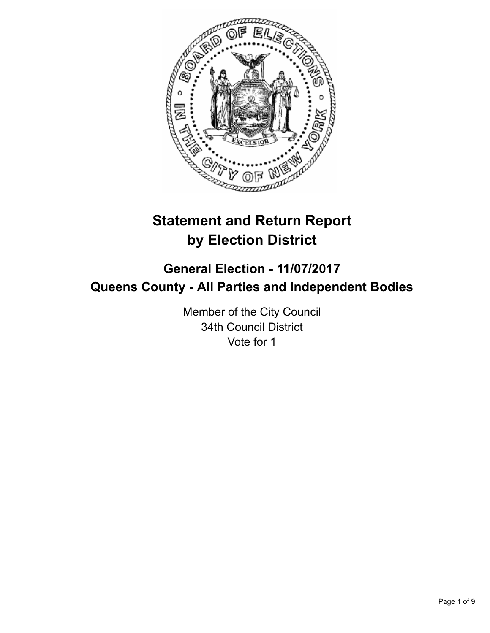

# **Statement and Return Report by Election District**

## **General Election - 11/07/2017 Queens County - All Parties and Independent Bodies**

Member of the City Council 34th Council District Vote for 1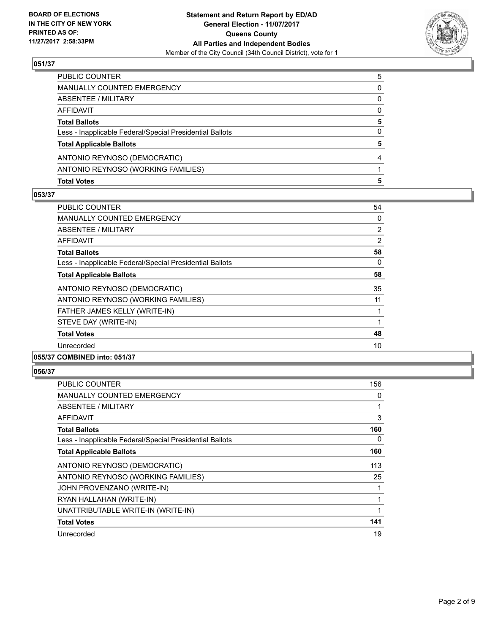

| <b>Total Votes</b>                                       | 5 |
|----------------------------------------------------------|---|
| ANTONIO REYNOSO (WORKING FAMILIES)                       |   |
| ANTONIO REYNOSO (DEMOCRATIC)                             |   |
| <b>Total Applicable Ballots</b>                          | 5 |
| Less - Inapplicable Federal/Special Presidential Ballots | 0 |
| <b>Total Ballots</b>                                     | 5 |
| AFFIDAVIT                                                | 0 |
| ABSENTEE / MILITARY                                      | 0 |
| <b>MANUALLY COUNTED EMERGENCY</b>                        | 0 |
| PUBLIC COUNTER                                           | 5 |

#### **053/37**

| <b>PUBLIC COUNTER</b>                                    | 54             |
|----------------------------------------------------------|----------------|
| <b>MANUALLY COUNTED EMERGENCY</b>                        | 0              |
| ABSENTEE / MILITARY                                      | $\overline{2}$ |
| AFFIDAVIT                                                | 2              |
| <b>Total Ballots</b>                                     | 58             |
| Less - Inapplicable Federal/Special Presidential Ballots | $\Omega$       |
| <b>Total Applicable Ballots</b>                          | 58             |
| ANTONIO REYNOSO (DEMOCRATIC)                             | 35             |
| ANTONIO REYNOSO (WORKING FAMILIES)                       | 11             |
| FATHER JAMES KELLY (WRITE-IN)                            | 1              |
| STEVE DAY (WRITE-IN)                                     | $\mathbf 1$    |
| <b>Total Votes</b>                                       | 48             |
| Unrecorded                                               | 10             |
| 055/37 COMBINED into: 051/37                             |                |

| PUBLIC COUNTER                                           | 156 |
|----------------------------------------------------------|-----|
| <b>MANUALLY COUNTED EMERGENCY</b>                        | 0   |
| ABSENTEE / MILITARY                                      |     |
| AFFIDAVIT                                                | 3   |
| <b>Total Ballots</b>                                     | 160 |
| Less - Inapplicable Federal/Special Presidential Ballots | 0   |
| <b>Total Applicable Ballots</b>                          | 160 |
| ANTONIO REYNOSO (DEMOCRATIC)                             | 113 |
| ANTONIO REYNOSO (WORKING FAMILIES)                       | 25  |
| JOHN PROVENZANO (WRITE-IN)                               |     |
| RYAN HALLAHAN (WRITE-IN)                                 | 1   |
| UNATTRIBUTABLE WRITE-IN (WRITE-IN)                       | 1   |
| <b>Total Votes</b>                                       | 141 |
| Unrecorded                                               | 19  |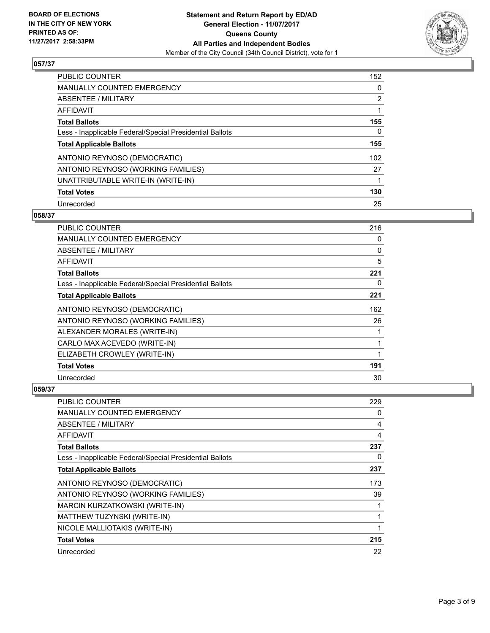

| <b>PUBLIC COUNTER</b>                                    | 152 |
|----------------------------------------------------------|-----|
| <b>MANUALLY COUNTED EMERGENCY</b>                        | 0   |
| ABSENTEE / MILITARY                                      | 2   |
| AFFIDAVIT                                                |     |
| <b>Total Ballots</b>                                     | 155 |
| Less - Inapplicable Federal/Special Presidential Ballots | 0   |
| <b>Total Applicable Ballots</b>                          | 155 |
| ANTONIO REYNOSO (DEMOCRATIC)                             | 102 |
| ANTONIO REYNOSO (WORKING FAMILIES)                       | 27  |
| UNATTRIBUTABLE WRITE-IN (WRITE-IN)                       |     |
| <b>Total Votes</b>                                       | 130 |
| Unrecorded                                               | 25  |

#### **058/37**

| <b>PUBLIC COUNTER</b>                                    | 216 |
|----------------------------------------------------------|-----|
| <b>MANUALLY COUNTED EMERGENCY</b>                        | 0   |
| ABSENTEE / MILITARY                                      | 0   |
| <b>AFFIDAVIT</b>                                         | 5   |
| <b>Total Ballots</b>                                     | 221 |
| Less - Inapplicable Federal/Special Presidential Ballots | 0   |
| <b>Total Applicable Ballots</b>                          | 221 |
| ANTONIO REYNOSO (DEMOCRATIC)                             | 162 |
| ANTONIO REYNOSO (WORKING FAMILIES)                       | 26  |
| ALEXANDER MORALES (WRITE-IN)                             |     |
| CARLO MAX ACEVEDO (WRITE-IN)                             | 1   |
| ELIZABETH CROWLEY (WRITE-IN)                             | 1   |
| <b>Total Votes</b>                                       | 191 |
| Unrecorded                                               | 30  |

| <b>PUBLIC COUNTER</b>                                    | 229 |
|----------------------------------------------------------|-----|
| <b>MANUALLY COUNTED EMERGENCY</b>                        | 0   |
| ABSENTEE / MILITARY                                      | 4   |
| AFFIDAVIT                                                | 4   |
| <b>Total Ballots</b>                                     | 237 |
| Less - Inapplicable Federal/Special Presidential Ballots | 0   |
| <b>Total Applicable Ballots</b>                          | 237 |
| ANTONIO REYNOSO (DEMOCRATIC)                             | 173 |
| ANTONIO REYNOSO (WORKING FAMILIES)                       | 39  |
| <b>MARCIN KURZATKOWSKI (WRITE-IN)</b>                    |     |
| MATTHEW TUZYNSKI (WRITE-IN)                              |     |
| NICOLE MALLIOTAKIS (WRITE-IN)                            |     |
| <b>Total Votes</b>                                       | 215 |
| Unrecorded                                               | 22  |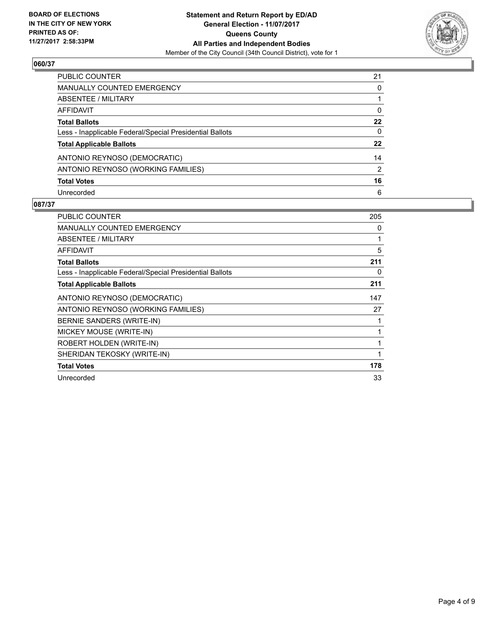

| <b>PUBLIC COUNTER</b>                                    | 21 |
|----------------------------------------------------------|----|
| <b>MANUALLY COUNTED EMERGENCY</b>                        | 0  |
| ABSENTEE / MILITARY                                      |    |
| AFFIDAVIT                                                | 0  |
| <b>Total Ballots</b>                                     | 22 |
| Less - Inapplicable Federal/Special Presidential Ballots | 0  |
| <b>Total Applicable Ballots</b>                          | 22 |
| ANTONIO REYNOSO (DEMOCRATIC)                             | 14 |
| ANTONIO REYNOSO (WORKING FAMILIES)                       | 2  |
| <b>Total Votes</b>                                       | 16 |
| Unrecorded                                               | 6  |

| <b>PUBLIC COUNTER</b>                                    | 205 |
|----------------------------------------------------------|-----|
| <b>MANUALLY COUNTED EMERGENCY</b>                        | 0   |
| <b>ABSENTEE / MILITARY</b>                               | 1   |
| AFFIDAVIT                                                | 5   |
| <b>Total Ballots</b>                                     | 211 |
| Less - Inapplicable Federal/Special Presidential Ballots | 0   |
| <b>Total Applicable Ballots</b>                          | 211 |
| ANTONIO REYNOSO (DEMOCRATIC)                             | 147 |
| ANTONIO REYNOSO (WORKING FAMILIES)                       | 27  |
| BERNIE SANDERS (WRITE-IN)                                | 1   |
| MICKEY MOUSE (WRITE-IN)                                  | 1   |
| ROBERT HOLDEN (WRITE-IN)                                 | 1   |
| SHERIDAN TEKOSKY (WRITE-IN)                              | 1   |
| <b>Total Votes</b>                                       | 178 |
| Unrecorded                                               | 33  |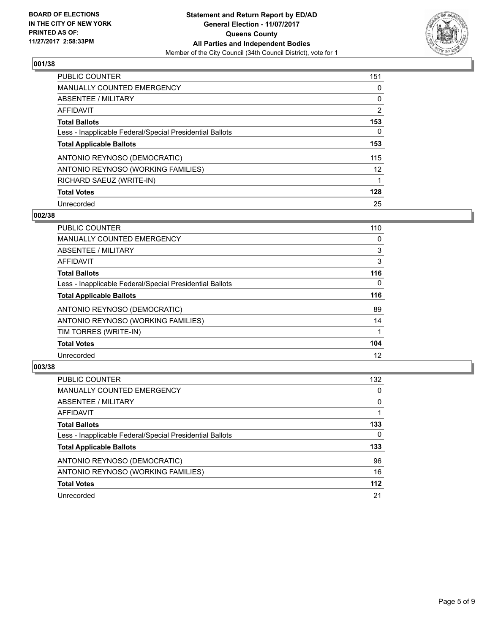

| <b>PUBLIC COUNTER</b>                                    | 151            |
|----------------------------------------------------------|----------------|
| <b>MANUALLY COUNTED EMERGENCY</b>                        | 0              |
| ABSENTEE / MILITARY                                      | 0              |
| AFFIDAVIT                                                | $\overline{2}$ |
| <b>Total Ballots</b>                                     | 153            |
| Less - Inapplicable Federal/Special Presidential Ballots | 0              |
| <b>Total Applicable Ballots</b>                          | 153            |
| ANTONIO REYNOSO (DEMOCRATIC)                             | 115            |
| ANTONIO REYNOSO (WORKING FAMILIES)                       | 12             |
| RICHARD SAEUZ (WRITE-IN)                                 | 1              |
| <b>Total Votes</b>                                       | 128            |
| Unrecorded                                               | 25             |

#### **002/38**

| <b>PUBLIC COUNTER</b>                                    | 110      |
|----------------------------------------------------------|----------|
| <b>MANUALLY COUNTED EMERGENCY</b>                        | 0        |
| ABSENTEE / MILITARY                                      | 3        |
| <b>AFFIDAVIT</b>                                         | 3        |
| <b>Total Ballots</b>                                     | 116      |
| Less - Inapplicable Federal/Special Presidential Ballots | $\Omega$ |
| <b>Total Applicable Ballots</b>                          | 116      |
| ANTONIO REYNOSO (DEMOCRATIC)                             | 89       |
| ANTONIO REYNOSO (WORKING FAMILIES)                       | 14       |
| TIM TORRES (WRITE-IN)                                    |          |
| <b>Total Votes</b>                                       | 104      |
| Unrecorded                                               | 12       |

| <b>PUBLIC COUNTER</b>                                    | 132   |
|----------------------------------------------------------|-------|
| <b>MANUALLY COUNTED EMERGENCY</b>                        | 0     |
| ABSENTEE / MILITARY                                      | 0     |
| AFFIDAVIT                                                |       |
| <b>Total Ballots</b>                                     | 133   |
| Less - Inapplicable Federal/Special Presidential Ballots | 0     |
| <b>Total Applicable Ballots</b>                          | 133   |
| ANTONIO REYNOSO (DEMOCRATIC)                             | 96    |
| ANTONIO REYNOSO (WORKING FAMILIES)                       | 16    |
| <b>Total Votes</b>                                       | $112$ |
| Unrecorded                                               | 21    |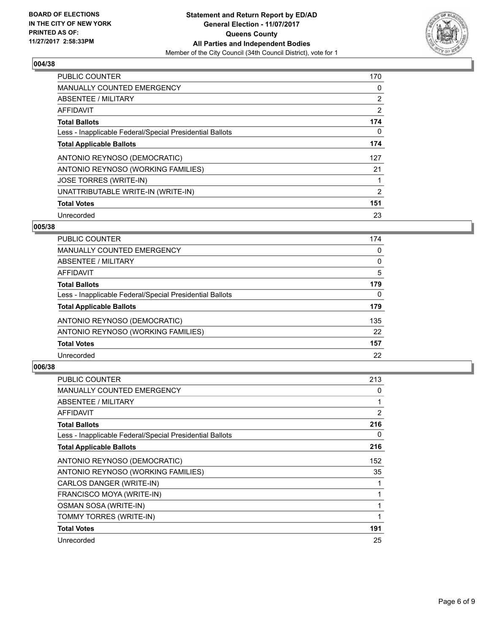

| <b>PUBLIC COUNTER</b>                                    | 170 |
|----------------------------------------------------------|-----|
| <b>MANUALLY COUNTED EMERGENCY</b>                        | 0   |
| ABSENTEE / MILITARY                                      | 2   |
| <b>AFFIDAVIT</b>                                         | 2   |
| <b>Total Ballots</b>                                     | 174 |
| Less - Inapplicable Federal/Special Presidential Ballots | 0   |
| <b>Total Applicable Ballots</b>                          | 174 |
| ANTONIO REYNOSO (DEMOCRATIC)                             | 127 |
| ANTONIO REYNOSO (WORKING FAMILIES)                       | 21  |
| <b>JOSE TORRES (WRITE-IN)</b>                            | 1   |
| UNATTRIBUTABLE WRITE-IN (WRITE-IN)                       | 2   |
| <b>Total Votes</b>                                       | 151 |
| Unrecorded                                               | 23  |

#### **005/38**

| 174 |
|-----|
| 0   |
| 0   |
| 5   |
| 179 |
| 0   |
| 179 |
| 135 |
| 22  |
| 157 |
| 22  |
|     |

| <b>PUBLIC COUNTER</b>                                    | 213 |
|----------------------------------------------------------|-----|
| <b>MANUALLY COUNTED EMERGENCY</b>                        | 0   |
| ABSENTEE / MILITARY                                      | 1   |
| AFFIDAVIT                                                | 2   |
| <b>Total Ballots</b>                                     | 216 |
| Less - Inapplicable Federal/Special Presidential Ballots | 0   |
| <b>Total Applicable Ballots</b>                          | 216 |
| ANTONIO REYNOSO (DEMOCRATIC)                             | 152 |
| ANTONIO REYNOSO (WORKING FAMILIES)                       | 35  |
| CARLOS DANGER (WRITE-IN)                                 |     |
| FRANCISCO MOYA (WRITE-IN)                                | 1   |
| OSMAN SOSA (WRITE-IN)                                    | 1   |
| TOMMY TORRES (WRITE-IN)                                  | 1   |
| <b>Total Votes</b>                                       | 191 |
| Unrecorded                                               | 25  |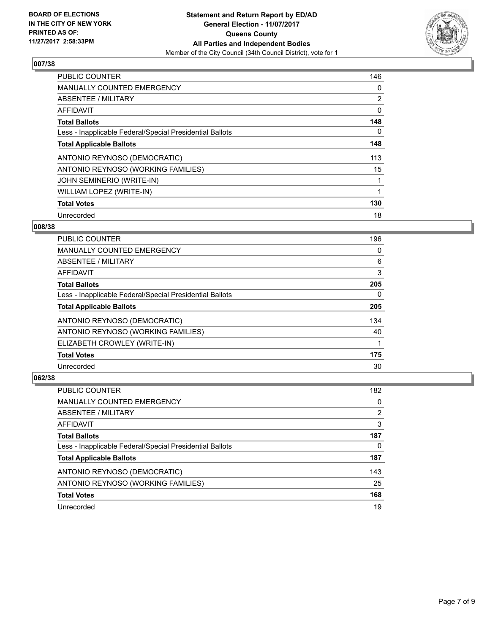

| <b>PUBLIC COUNTER</b>                                    | 146 |
|----------------------------------------------------------|-----|
| <b>MANUALLY COUNTED EMERGENCY</b>                        | 0   |
| ABSENTEE / MILITARY                                      | 2   |
| <b>AFFIDAVIT</b>                                         | 0   |
| <b>Total Ballots</b>                                     | 148 |
| Less - Inapplicable Federal/Special Presidential Ballots | 0   |
| <b>Total Applicable Ballots</b>                          | 148 |
| ANTONIO REYNOSO (DEMOCRATIC)                             | 113 |
| ANTONIO REYNOSO (WORKING FAMILIES)                       | 15  |
| <b>JOHN SEMINERIO (WRITE-IN)</b>                         |     |
| WILLIAM LOPEZ (WRITE-IN)                                 | 1   |
| <b>Total Votes</b>                                       | 130 |
| Unrecorded                                               | 18  |

#### **008/38**

| <b>PUBLIC COUNTER</b>                                    | 196 |
|----------------------------------------------------------|-----|
| <b>MANUALLY COUNTED EMERGENCY</b>                        | 0   |
| ABSENTEE / MILITARY                                      | 6   |
| AFFIDAVIT                                                | 3   |
| <b>Total Ballots</b>                                     | 205 |
| Less - Inapplicable Federal/Special Presidential Ballots | 0   |
| <b>Total Applicable Ballots</b>                          | 205 |
| ANTONIO REYNOSO (DEMOCRATIC)                             | 134 |
| ANTONIO REYNOSO (WORKING FAMILIES)                       | 40  |
| ELIZABETH CROWLEY (WRITE-IN)                             |     |
| <b>Total Votes</b>                                       | 175 |
| Unrecorded                                               | 30  |

| PUBLIC COUNTER                                           | 182 |
|----------------------------------------------------------|-----|
| MANUALLY COUNTED EMERGENCY                               | 0   |
| ABSENTEE / MILITARY                                      | 2   |
| AFFIDAVIT                                                | 3   |
| <b>Total Ballots</b>                                     | 187 |
| Less - Inapplicable Federal/Special Presidential Ballots | 0   |
| <b>Total Applicable Ballots</b>                          | 187 |
| ANTONIO REYNOSO (DEMOCRATIC)                             | 143 |
| ANTONIO REYNOSO (WORKING FAMILIES)                       | 25  |
| <b>Total Votes</b>                                       | 168 |
| Unrecorded                                               | 19  |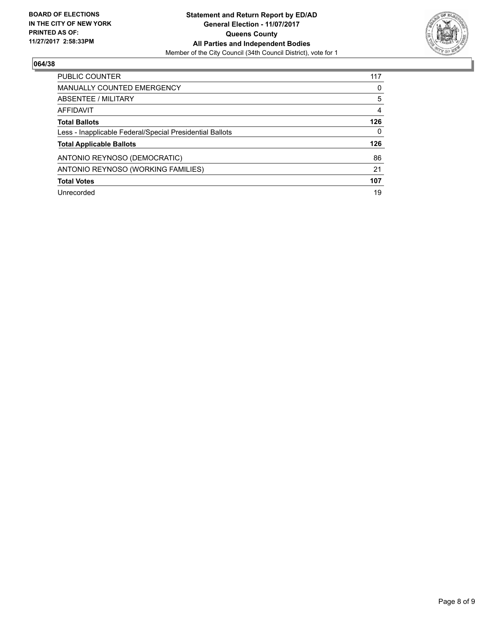

| <b>PUBLIC COUNTER</b>                                    | 117 |
|----------------------------------------------------------|-----|
| <b>MANUALLY COUNTED EMERGENCY</b>                        | 0   |
| ABSENTEE / MILITARY                                      | 5   |
| AFFIDAVIT                                                | 4   |
| <b>Total Ballots</b>                                     | 126 |
| Less - Inapplicable Federal/Special Presidential Ballots | 0   |
| <b>Total Applicable Ballots</b>                          | 126 |
| ANTONIO REYNOSO (DEMOCRATIC)                             | 86  |
| ANTONIO REYNOSO (WORKING FAMILIES)                       | 21  |
| <b>Total Votes</b>                                       | 107 |
| Unrecorded                                               | 19  |